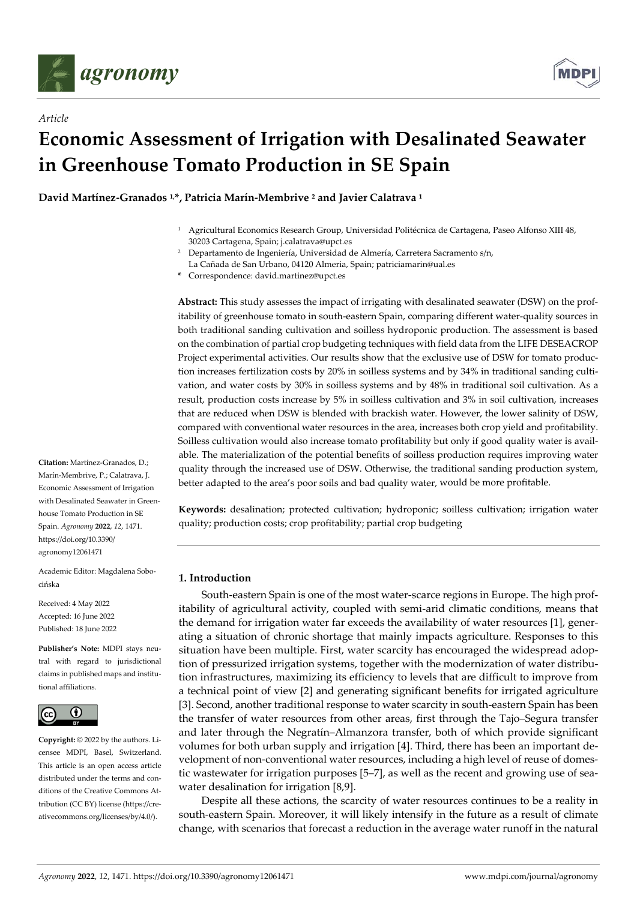

*Article*



# **Economic Assessment of Irrigation with Desalinated Seawater in Greenhouse Tomato Production in SE Spain**

**David Martínez‐Granados 1,\*, Patricia Marín‐Membrive <sup>2</sup> and Javier Calatrava <sup>1</sup>**

- <sup>1</sup> Agricultural Economics Research Group, Universidad Politécnica de Cartagena, Paseo Alfonso XIII 48, 30203 Cartagena, Spain; j.calatrava@upct.es
- <sup>2</sup> Departamento de Ingeniería, Universidad de Almería, Carretera Sacramento s/n,
- La Cañada de San Urbano, 04120 Almeria, Spain; patriciamarin@ual.es
- **\*** Correspondence: david.martinez@upct.es

**Abstract:** This study assesses the impact of irrigating with desalinated seawater (DSW) on the prof‐ itability of greenhouse tomato in south‐eastern Spain, comparing different water‐quality sources in both traditional sanding cultivation and soilless hydroponic production. The assessment is based on the combination of partial crop budgeting techniques with field data from the LIFE DESEACROP Project experimental activities. Our results show that the exclusive use of DSW for tomato produc‐ tion increases fertilization costs by 20% in soilless systems and by 34% in traditional sanding cultivation, and water costs by 30% in soilless systems and by 48% in traditional soil cultivation. As a result, production costs increase by 5% in soilless cultivation and 3% in soil cultivation, increases that are reduced when DSW is blended with brackish water. However, the lower salinity of DSW, compared with conventional water resources in the area, increases both crop yield and profitability. Soilless cultivation would also increase tomato profitability but only if good quality water is avail‐ able. The materialization of the potential benefits of soilless production requires improving water quality through the increased use of DSW. Otherwise, the traditional sanding production system, better adapted to the area's poor soils and bad quality water, would be more profitable.

**Keywords:** desalination; protected cultivation; hydroponic; soilless cultivation; irrigation water quality; production costs; crop profitability; partial crop budgeting

## **1. Introduction**

South‐eastern Spain is one of the most water‐scarce regions in Europe. The high prof‐ itability of agricultural activity, coupled with semi-arid climatic conditions, means that the demand for irrigation water far exceeds the availability of water resources [1], generating a situation of chronic shortage that mainly impacts agriculture. Responses to this situation have been multiple. First, water scarcity has encouraged the widespread adop‐ tion of pressurized irrigation systems, together with the modernization of water distribu‐ tion infrastructures, maximizing its efficiency to levels that are difficult to improve from a technical point of view [2] and generating significant benefits for irrigated agriculture [3]. Second, another traditional response to water scarcity in south‐eastern Spain has been the transfer of water resources from other areas, first through the Tajo–Segura transfer and later through the Negratín–Almanzora transfer, both of which provide significant volumes for both urban supply and irrigation [4]. Third, there has been an important de‐ velopment of non‐conventional water resources, including a high level of reuse of domes‐ tic wastewater for irrigation purposes [5–7], as well as the recent and growing use of seawater desalination for irrigation [8,9].

Despite all these actions, the scarcity of water resources continues to be a reality in south-eastern Spain. Moreover, it will likely intensify in the future as a result of climate change, with scenarios that forecast a reduction in the average water runoff in the natural

**Citation:** Martínez‐Granados, D.; Marín‐Membrive, P.; Calatrava, J. Economic Assessment of Irrigation with Desalinated Seawater in Greenhouse Tomato Production in SE Spain. *Agronomy* **2022**, *12*, 1471. https://doi.org/10.3390/ agronomy12061471

Academic Editor: Magdalena Sobo‐ cińska

Received: 4 May 2022 Accepted: 16 June 2022 Published: 18 June 2022

**Publisher's Note:** MDPI stays neu‐ tral with regard to jurisdictional claims in published maps and institu‐ tional affiliations.



**Copyright:** © 2022 by the authors. Li‐ censee MDPI, Basel, Switzerland. This article is an open access article distributed under the terms and conditions of the Creative Commons Attribution (CC BY) license (https://cre‐ ativecommons.org/licenses/by/4.0/).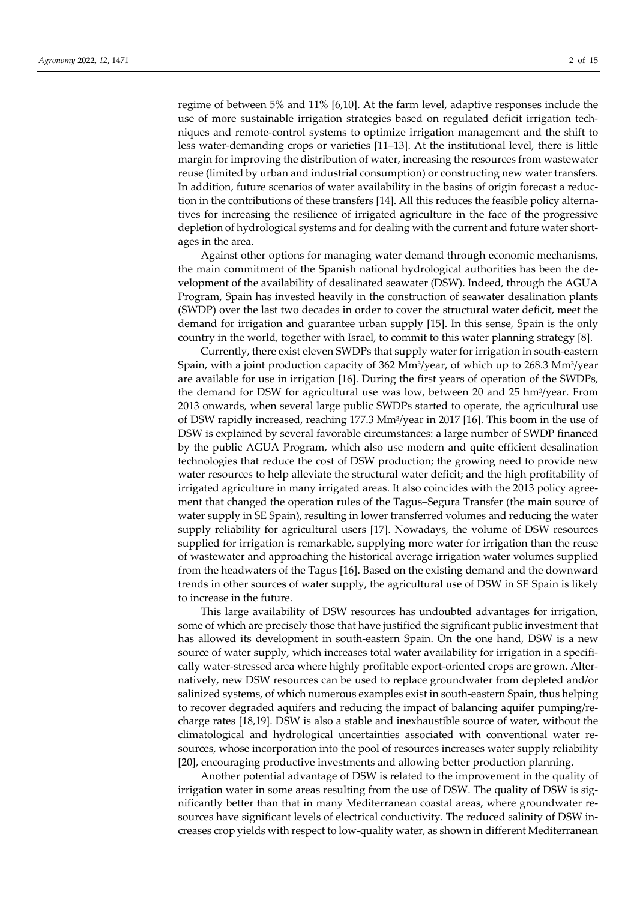regime of between 5% and 11% [6,10]. At the farm level, adaptive responses include the use of more sustainable irrigation strategies based on regulated deficit irrigation tech‐ niques and remote‐control systems to optimize irrigation management and the shift to less water‐demanding crops or varieties [11–13]. At the institutional level, there is little margin for improving the distribution of water, increasing the resources from wastewater reuse (limited by urban and industrial consumption) or constructing new water transfers. In addition, future scenarios of water availability in the basins of origin forecast a reduc‐ tion in the contributions of these transfers [14]. All this reduces the feasible policy alterna‐ tives for increasing the resilience of irrigated agriculture in the face of the progressive depletion of hydrological systems and for dealing with the current and future water shortages in the area.

Against other options for managing water demand through economic mechanisms, the main commitment of the Spanish national hydrological authorities has been the de‐ velopment of the availability of desalinated seawater (DSW). Indeed, through the AGUA Program, Spain has invested heavily in the construction of seawater desalination plants (SWDP) over the last two decades in order to cover the structural water deficit, meet the demand for irrigation and guarantee urban supply [15]. In this sense, Spain is the only country in the world, together with Israel, to commit to this water planning strategy [8].

Currently, there exist eleven SWDPs that supply water for irrigation in south‐eastern Spain, with a joint production capacity of 362 Mm3/year, of which up to 268.3 Mm3/year are available for use in irrigation [16]. During the first years of operation of the SWDPs, the demand for DSW for agricultural use was low, between 20 and 25 hm3/year. From 2013 onwards, when several large public SWDPs started to operate, the agricultural use of DSW rapidly increased, reaching 177.3 Mm3/year in 2017 [16]. This boom in the use of DSW is explained by several favorable circumstances: a large number of SWDP financed by the public AGUA Program, which also use modern and quite efficient desalination technologies that reduce the cost of DSW production; the growing need to provide new water resources to help alleviate the structural water deficit; and the high profitability of irrigated agriculture in many irrigated areas. It also coincides with the 2013 policy agreement that changed the operation rules of the Tagus–Segura Transfer (the main source of water supply in SE Spain), resulting in lower transferred volumes and reducing the water supply reliability for agricultural users [17]. Nowadays, the volume of DSW resources supplied for irrigation is remarkable, supplying more water for irrigation than the reuse of wastewater and approaching the historical average irrigation water volumes supplied from the headwaters of the Tagus [16]. Based on the existing demand and the downward trends in other sources of water supply, the agricultural use of DSW in SE Spain is likely to increase in the future.

This large availability of DSW resources has undoubted advantages for irrigation, some of which are precisely those that have justified the significant public investment that has allowed its development in south‐eastern Spain. On the one hand, DSW is a new source of water supply, which increases total water availability for irrigation in a specifically water-stressed area where highly profitable export-oriented crops are grown. Alternatively, new DSW resources can be used to replace groundwater from depleted and/or salinized systems, of which numerous examples exist in south-eastern Spain, thus helping to recover degraded aquifers and reducing the impact of balancing aquifer pumping/re‐ charge rates [18,19]. DSW is also a stable and inexhaustible source of water, without the climatological and hydrological uncertainties associated with conventional water re‐ sources, whose incorporation into the pool of resources increases water supply reliability [20], encouraging productive investments and allowing better production planning.

Another potential advantage of DSW is related to the improvement in the quality of irrigation water in some areas resulting from the use of DSW. The quality of DSW is significantly better than that in many Mediterranean coastal areas, where groundwater re‐ sources have significant levels of electrical conductivity. The reduced salinity of DSW increases crop yields with respect to low‐quality water, as shown in different Mediterranean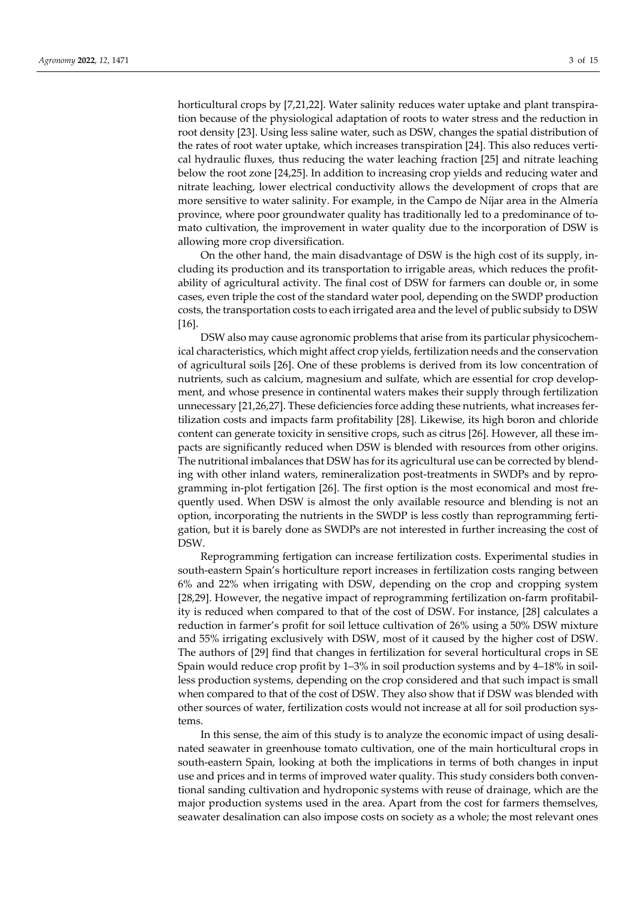horticultural crops by [7,21,22]. Water salinity reduces water uptake and plant transpiration because of the physiological adaptation of roots to water stress and the reduction in root density [23]. Using less saline water, such as DSW, changes the spatial distribution of the rates of root water uptake, which increases transpiration [24]. This also reduces vertical hydraulic fluxes, thus reducing the water leaching fraction [25] and nitrate leaching below the root zone [24,25]. In addition to increasing crop yields and reducing water and nitrate leaching, lower electrical conductivity allows the development of crops that are more sensitive to water salinity. For example, in the Campo de Níjar area in the Almería province, where poor groundwater quality has traditionally led to a predominance of to‐ mato cultivation, the improvement in water quality due to the incorporation of DSW is allowing more crop diversification.

On the other hand, the main disadvantage of DSW is the high cost of its supply, in‐ cluding its production and its transportation to irrigable areas, which reduces the profit‐ ability of agricultural activity. The final cost of DSW for farmers can double or, in some cases, even triple the cost of the standard water pool, depending on the SWDP production costs, the transportation costs to each irrigated area and the level of public subsidy to DSW [16].

DSW also may cause agronomic problems that arise from its particular physicochemical characteristics, which might affect crop yields, fertilization needs and the conservation of agricultural soils [26]. One of these problems is derived from its low concentration of nutrients, such as calcium, magnesium and sulfate, which are essential for crop development, and whose presence in continental waters makes their supply through fertilization unnecessary [21,26,27]. These deficiencies force adding these nutrients, what increases fertilization costs and impacts farm profitability [28]. Likewise, its high boron and chloride content can generate toxicity in sensitive crops, such as citrus [26]. However, all these im‐ pacts are significantly reduced when DSW is blended with resources from other origins. The nutritional imbalances that DSW has for its agricultural use can be corrected by blending with other inland waters, remineralization post-treatments in SWDPs and by reprogramming in‐plot fertigation [26]. The first option is the most economical and most fre‐ quently used. When DSW is almost the only available resource and blending is not an option, incorporating the nutrients in the SWDP is less costly than reprogramming fertigation, but it is barely done as SWDPs are not interested in further increasing the cost of DSW.

Reprogramming fertigation can increase fertilization costs. Experimental studies in south‐eastern Spain's horticulture report increases in fertilization costs ranging between 6% and 22% when irrigating with DSW, depending on the crop and cropping system [28,29]. However, the negative impact of reprogramming fertilization on-farm profitability is reduced when compared to that of the cost of DSW. For instance, [28] calculates a reduction in farmer's profit for soil lettuce cultivation of 26% using a 50% DSW mixture and 55% irrigating exclusively with DSW, most of it caused by the higher cost of DSW. The authors of [29] find that changes in fertilization for several horticultural crops in SE Spain would reduce crop profit by 1–3% in soil production systems and by 4–18% in soil‐ less production systems, depending on the crop considered and that such impact is small when compared to that of the cost of DSW. They also show that if DSW was blended with other sources of water, fertilization costs would not increase at all for soil production sys‐ tems.

In this sense, the aim of this study is to analyze the economic impact of using desalinated seawater in greenhouse tomato cultivation, one of the main horticultural crops in south‐eastern Spain, looking at both the implications in terms of both changes in input use and prices and in terms of improved water quality. This study considers both conventional sanding cultivation and hydroponic systems with reuse of drainage, which are the major production systems used in the area. Apart from the cost for farmers themselves, seawater desalination can also impose costs on society as a whole; the most relevant ones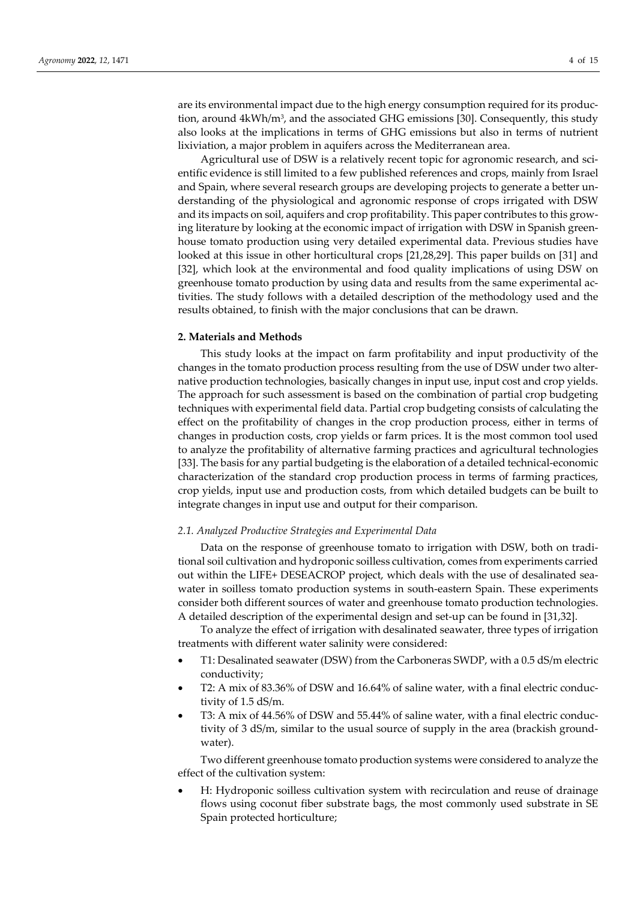are its environmental impact due to the high energy consumption required for its produc‐ tion, around 4kWh/m3, and the associated GHG emissions [30]. Consequently, this study also looks at the implications in terms of GHG emissions but also in terms of nutrient lixiviation, a major problem in aquifers across the Mediterranean area.

Agricultural use of DSW is a relatively recent topic for agronomic research, and scientific evidence is still limited to a few published references and crops, mainly from Israel and Spain, where several research groups are developing projects to generate a better un‐ derstanding of the physiological and agronomic response of crops irrigated with DSW and its impacts on soil, aquifers and crop profitability. This paper contributes to this grow‐ ing literature by looking at the economic impact of irrigation with DSW in Spanish greenhouse tomato production using very detailed experimental data. Previous studies have looked at this issue in other horticultural crops [21,28,29]. This paper builds on [31] and [32], which look at the environmental and food quality implications of using DSW on greenhouse tomato production by using data and results from the same experimental ac‐ tivities. The study follows with a detailed description of the methodology used and the results obtained, to finish with the major conclusions that can be drawn.

## **2. Materials and Methods**

This study looks at the impact on farm profitability and input productivity of the changes in the tomato production process resulting from the use of DSW under two alter‐ native production technologies, basically changes in input use, input cost and crop yields. The approach for such assessment is based on the combination of partial crop budgeting techniques with experimental field data. Partial crop budgeting consists of calculating the effect on the profitability of changes in the crop production process, either in terms of changes in production costs, crop yields or farm prices. It is the most common tool used to analyze the profitability of alternative farming practices and agricultural technologies [33]. The basis for any partial budgeting is the elaboration of a detailed technical‐economic characterization of the standard crop production process in terms of farming practices, crop yields, input use and production costs, from which detailed budgets can be built to integrate changes in input use and output for their comparison.

## *2.1. Analyzed Productive Strategies and Experimental Data*

Data on the response of greenhouse tomato to irrigation with DSW, both on tradi‐ tional soil cultivation and hydroponic soilless cultivation, comes from experiments carried out within the LIFE+ DESEACROP project, which deals with the use of desalinated sea‐ water in soilless tomato production systems in south-eastern Spain. These experiments consider both different sources of water and greenhouse tomato production technologies. A detailed description of the experimental design and set‐up can be found in [31,32].

To analyze the effect of irrigation with desalinated seawater, three types of irrigation treatments with different water salinity were considered:

- T1: Desalinated seawater (DSW) from the Carboneras SWDP, with a 0.5 dS/m electric conductivity;
- T2: A mix of 83.36% of DSW and 16.64% of saline water, with a final electric conduc‐ tivity of 1.5 dS/m.
- T3: A mix of 44.56% of DSW and 55.44% of saline water, with a final electric conduc‐ tivity of 3 dS/m, similar to the usual source of supply in the area (brackish ground‐ water).

Two different greenhouse tomato production systems were considered to analyze the effect of the cultivation system:

 H: Hydroponic soilless cultivation system with recirculation and reuse of drainage flows using coconut fiber substrate bags, the most commonly used substrate in SE Spain protected horticulture;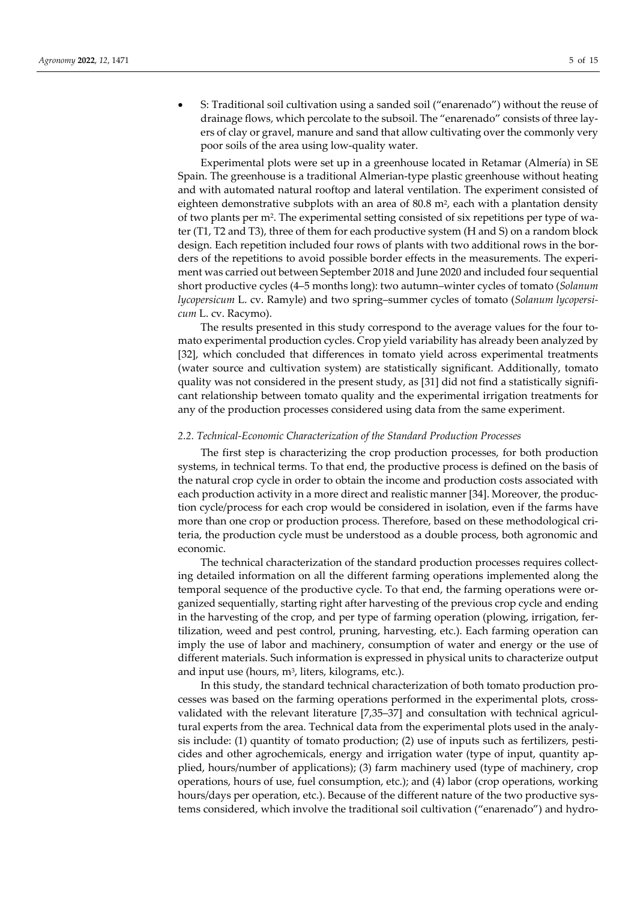S: Traditional soil cultivation using a sanded soil ("enarenado") without the reuse of drainage flows, which percolate to the subsoil. The "enarenado" consists of three layers of clay or gravel, manure and sand that allow cultivating over the commonly very poor soils of the area using low‐quality water.

Experimental plots were set up in a greenhouse located in Retamar (Almería) in SE Spain. The greenhouse is a traditional Almerian-type plastic greenhouse without heating and with automated natural rooftop and lateral ventilation. The experiment consisted of eighteen demonstrative subplots with an area of 80.8 m<sup>2</sup>, each with a plantation density of two plants per m2. The experimental setting consisted of six repetitions per type of wa‐ ter (T1, T2 and T3), three of them for each productive system (H and S) on a random block design. Each repetition included four rows of plants with two additional rows in the bor‐ ders of the repetitions to avoid possible border effects in the measurements. The experiment was carried out between September 2018 and June 2020 and included four sequential short productive cycles (4–5 months long): two autumn–winter cycles of tomato (*Solanum lycopersicum* L. cv. Ramyle) and two spring–summer cycles of tomato (*Solanum lycopersi‐ cum* L. cv. Racymo).

The results presented in this study correspond to the average values for the four tomato experimental production cycles. Crop yield variability has already been analyzed by [32], which concluded that differences in tomato yield across experimental treatments (water source and cultivation system) are statistically significant. Additionally, tomato quality was not considered in the present study, as [31] did not find a statistically significant relationship between tomato quality and the experimental irrigation treatments for any of the production processes considered using data from the same experiment.

#### *2.2. Technical‐Economic Characterization of the Standard Production Processes*

The first step is characterizing the crop production processes, for both production systems, in technical terms. To that end, the productive process is defined on the basis of the natural crop cycle in order to obtain the income and production costs associated with each production activity in a more direct and realistic manner [34]. Moreover, the produc‐ tion cycle/process for each crop would be considered in isolation, even if the farms have more than one crop or production process. Therefore, based on these methodological criteria, the production cycle must be understood as a double process, both agronomic and economic.

The technical characterization of the standard production processes requires collect‐ ing detailed information on all the different farming operations implemented along the temporal sequence of the productive cycle. To that end, the farming operations were organized sequentially, starting right after harvesting of the previous crop cycle and ending in the harvesting of the crop, and per type of farming operation (plowing, irrigation, fer‐ tilization, weed and pest control, pruning, harvesting, etc.). Each farming operation can imply the use of labor and machinery, consumption of water and energy or the use of different materials. Such information is expressed in physical units to characterize output and input use (hours,  $m^3$ , liters, kilograms, etc.).

In this study, the standard technical characterization of both tomato production pro‐ cesses was based on the farming operations performed in the experimental plots, crossvalidated with the relevant literature [7,35–37] and consultation with technical agricul‐ tural experts from the area. Technical data from the experimental plots used in the analy‐ sis include: (1) quantity of tomato production; (2) use of inputs such as fertilizers, pesticides and other agrochemicals, energy and irrigation water (type of input, quantity applied, hours/number of applications); (3) farm machinery used (type of machinery, crop operations, hours of use, fuel consumption, etc.); and (4) labor (crop operations, working hours/days per operation, etc.). Because of the different nature of the two productive systems considered, which involve the traditional soil cultivation ("enarenado") and hydro‐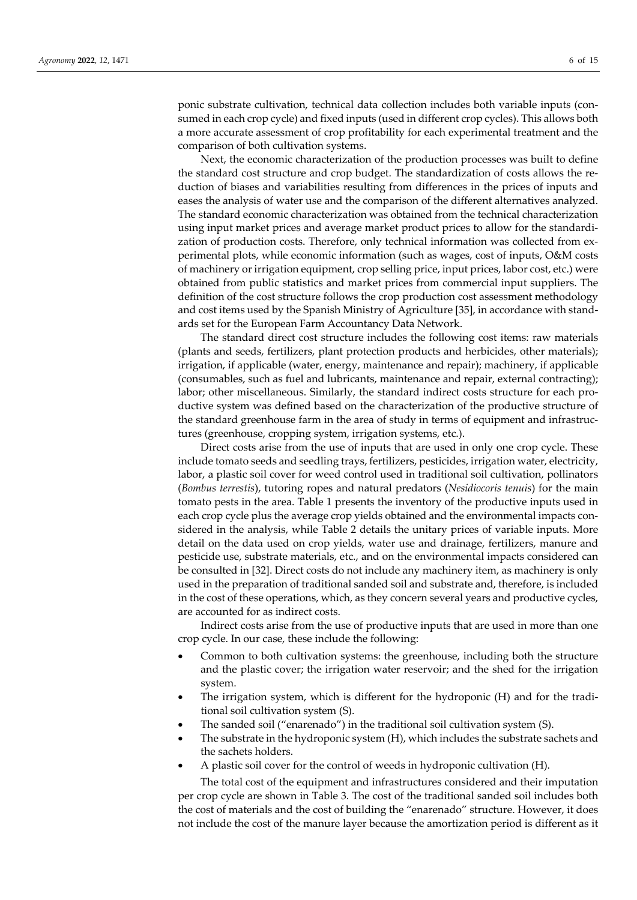ponic substrate cultivation, technical data collection includes both variable inputs (con‐ sumed in each crop cycle) and fixed inputs (used in different crop cycles). This allows both a more accurate assessment of crop profitability for each experimental treatment and the comparison of both cultivation systems.

Next, the economic characterization of the production processes was built to define the standard cost structure and crop budget. The standardization of costs allows the re‐ duction of biases and variabilities resulting from differences in the prices of inputs and eases the analysis of water use and the comparison of the different alternatives analyzed. The standard economic characterization was obtained from the technical characterization using input market prices and average market product prices to allow for the standardization of production costs. Therefore, only technical information was collected from ex‐ perimental plots, while economic information (such as wages, cost of inputs, O&M costs of machinery or irrigation equipment, crop selling price, input prices, labor cost, etc.) were obtained from public statistics and market prices from commercial input suppliers. The definition of the cost structure follows the crop production cost assessment methodology and cost items used by the Spanish Ministry of Agriculture [35], in accordance with stand‐ ards set for the European Farm Accountancy Data Network.

The standard direct cost structure includes the following cost items: raw materials (plants and seeds, fertilizers, plant protection products and herbicides, other materials); irrigation, if applicable (water, energy, maintenance and repair); machinery, if applicable (consumables, such as fuel and lubricants, maintenance and repair, external contracting); labor; other miscellaneous. Similarly, the standard indirect costs structure for each pro‐ ductive system was defined based on the characterization of the productive structure of the standard greenhouse farm in the area of study in terms of equipment and infrastruc‐ tures (greenhouse, cropping system, irrigation systems, etc.).

Direct costs arise from the use of inputs that are used in only one crop cycle. These include tomato seeds and seedling trays, fertilizers, pesticides, irrigation water, electricity, labor, a plastic soil cover for weed control used in traditional soil cultivation, pollinators (*Bombus terrestis*), tutoring ropes and natural predators (*Nesidiocoris tenuis*) for the main tomato pests in the area. Table 1 presents the inventory of the productive inputs used in each crop cycle plus the average crop yields obtained and the environmental impacts considered in the analysis, while Table 2 details the unitary prices of variable inputs. More detail on the data used on crop yields, water use and drainage, fertilizers, manure and pesticide use, substrate materials, etc., and on the environmental impacts considered can be consulted in [32]. Direct costs do not include any machinery item, as machinery is only used in the preparation of traditional sanded soil and substrate and, therefore, is included in the cost of these operations, which, as they concern several years and productive cycles, are accounted for as indirect costs.

Indirect costs arise from the use of productive inputs that are used in more than one crop cycle. In our case, these include the following:

- Common to both cultivation systems: the greenhouse, including both the structure and the plastic cover; the irrigation water reservoir; and the shed for the irrigation system.
- The irrigation system, which is different for the hydroponic (H) and for the tradi‐ tional soil cultivation system (S).
- The sanded soil ("enarenado") in the traditional soil cultivation system (S).
- The substrate in the hydroponic system (H), which includes the substrate sachets and the sachets holders.
- A plastic soil cover for the control of weeds in hydroponic cultivation (H).

The total cost of the equipment and infrastructures considered and their imputation per crop cycle are shown in Table 3. The cost of the traditional sanded soil includes both the cost of materials and the cost of building the "enarenado" structure. However, it does not include the cost of the manure layer because the amortization period is different as it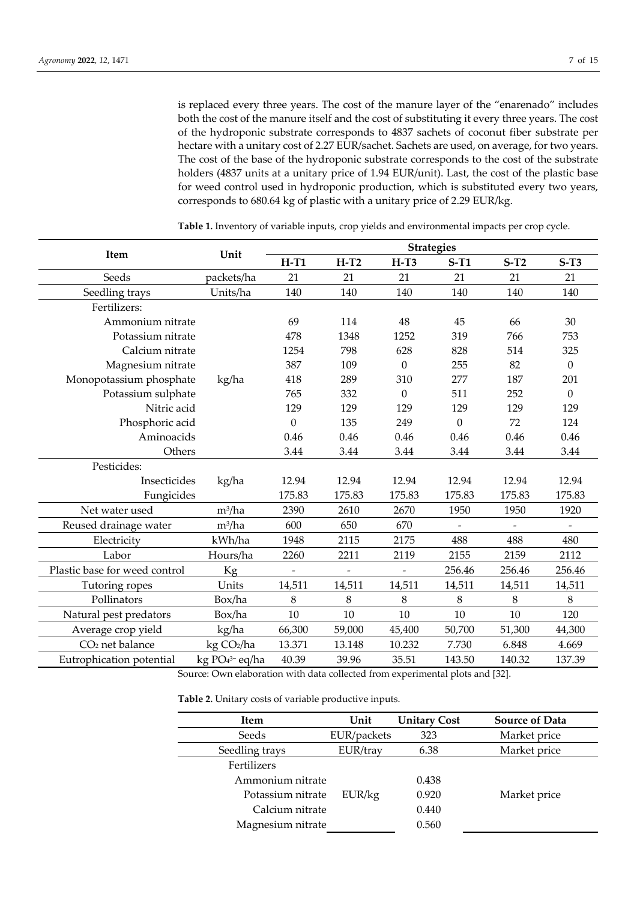is replaced every three years. The cost of the manure layer of the "enarenado" includes both the cost of the manure itself and the cost of substituting it every three years. The cost of the hydroponic substrate corresponds to 4837 sachets of coconut fiber substrate per hectare with a unitary cost of 2.27 EUR/sachet. Sachets are used, on average, for two years. The cost of the base of the hydroponic substrate corresponds to the cost of the substrate holders (4837 units at a unitary price of 1.94 EUR/unit). Last, the cost of the plastic base for weed control used in hydroponic production, which is substituted every two years, corresponds to 680.64 kg of plastic with a unitary price of 2.29 EUR/kg.

|                                                                               | Unit                        |                          |                          | <b>Strategies</b>        |                  |        |                  |  |  |
|-------------------------------------------------------------------------------|-----------------------------|--------------------------|--------------------------|--------------------------|------------------|--------|------------------|--|--|
| Item                                                                          |                             | $H-T1$                   | $H-T2$                   | $H-T3$                   | $S-T1$           | $S-T2$ | $S-T3$           |  |  |
| Seeds                                                                         | packets/ha                  | 21                       | 21                       | 21                       | 21               | 21     | 21               |  |  |
| Seedling trays                                                                | Units/ha                    | 140                      | 140                      | 140                      | 140              | 140    | 140              |  |  |
| Fertilizers:                                                                  |                             |                          |                          |                          |                  |        |                  |  |  |
| Ammonium nitrate                                                              |                             | 69                       | 114                      | 48                       | 45               | 66     | 30               |  |  |
| Potassium nitrate                                                             |                             | 478                      | 1348                     | 1252                     | 319              | 766    | 753              |  |  |
| Calcium nitrate                                                               |                             | 1254                     | 798                      | 628                      | 828              | 514    | 325              |  |  |
| Magnesium nitrate                                                             |                             | 387                      | 109                      | $\Omega$                 | 255              | 82     | $\overline{0}$   |  |  |
| Monopotassium phosphate                                                       | kg/ha                       | 418                      | 289                      | 310                      | 277              | 187    | 201              |  |  |
| Potassium sulphate                                                            |                             | 765                      | 332                      | $\theta$                 | 511              | 252    | $\boldsymbol{0}$ |  |  |
| Nitric acid                                                                   |                             | 129                      | 129                      | 129                      | 129              | 129    | 129              |  |  |
| Phosphoric acid                                                               |                             | $\Omega$                 | 135                      | 249                      | $\boldsymbol{0}$ | 72     | 124              |  |  |
| Aminoacids                                                                    |                             | 0.46                     | 0.46                     | 0.46                     | 0.46             | 0.46   | 0.46             |  |  |
| Others                                                                        |                             | 3.44                     | 3.44                     | 3.44                     | 3.44             | 3.44   | 3.44             |  |  |
| Pesticides:                                                                   |                             |                          |                          |                          |                  |        |                  |  |  |
| Insecticides                                                                  | kg/ha                       | 12.94                    | 12.94                    | 12.94                    | 12.94            | 12.94  | 12.94            |  |  |
| Fungicides                                                                    |                             | 175.83                   | 175.83                   | 175.83                   | 175.83           | 175.83 | 175.83           |  |  |
| Net water used                                                                | $m^3/ha$                    | 2390                     | 2610                     | 2670                     | 1950             | 1950   | 1920             |  |  |
| Reused drainage water                                                         | $m^3/ha$                    | 600                      | 650                      | 670                      |                  |        |                  |  |  |
| Electricity                                                                   | kWh/ha                      | 1948                     | 2115                     | 2175                     | 488              | 488    | 480              |  |  |
| Labor                                                                         | Hours/ha                    | 2260                     | 2211                     | 2119                     | 2155             | 2159   | 2112             |  |  |
| Plastic base for weed control                                                 | Kg                          | $\overline{\phantom{a}}$ | $\overline{\phantom{0}}$ | $\overline{\phantom{a}}$ | 256.46           | 256.46 | 256.46           |  |  |
| Tutoring ropes                                                                | Units                       | 14,511                   | 14,511                   | 14,511                   | 14,511           | 14,511 | 14,511           |  |  |
| Pollinators                                                                   | Box/ha                      | 8                        | 8                        | 8                        | 8                | 8      | 8                |  |  |
| Natural pest predators                                                        | Box/ha                      | 10                       | 10                       | 10                       | 10               | 10     | 120              |  |  |
| Average crop yield                                                            | kg/ha                       | 66,300                   | 59,000                   | 45,400                   | 50,700           | 51,300 | 44,300           |  |  |
| CO <sub>2</sub> net balance                                                   | kg CO2/ha                   | 13.371                   | 13.148                   | 10.232                   | 7.730            | 6.848  | 4.669            |  |  |
| Eutrophication potential                                                      | kg PO <sub>4</sub> 3- eq/ha | 40.39                    | 39.96                    | 35.51                    | 143.50           | 140.32 | 137.39           |  |  |
| Source: Own elaboration with data collected from experimental plots and [32]. |                             |                          |                          |                          |                  |        |                  |  |  |

**Table 1.** Inventory of variable inputs, crop yields and environmental impacts per crop cycle.

**Table 2.** Unitary costs of variable productive inputs.

| <b>Item</b>       | Unit        | <b>Unitary Cost</b> | <b>Source of Data</b> |
|-------------------|-------------|---------------------|-----------------------|
| Seeds             | EUR/packets | 323                 | Market price          |
| Seedling trays    | EUR/tray    | 6.38                | Market price          |
| Fertilizers       |             |                     |                       |
| Ammonium nitrate  |             | 0.438               |                       |
| Potassium nitrate | EUR/kg      | 0.920               | Market price          |
| Calcium nitrate   |             | 0.440               |                       |
| Magnesium nitrate |             | 0.560               |                       |
|                   |             |                     |                       |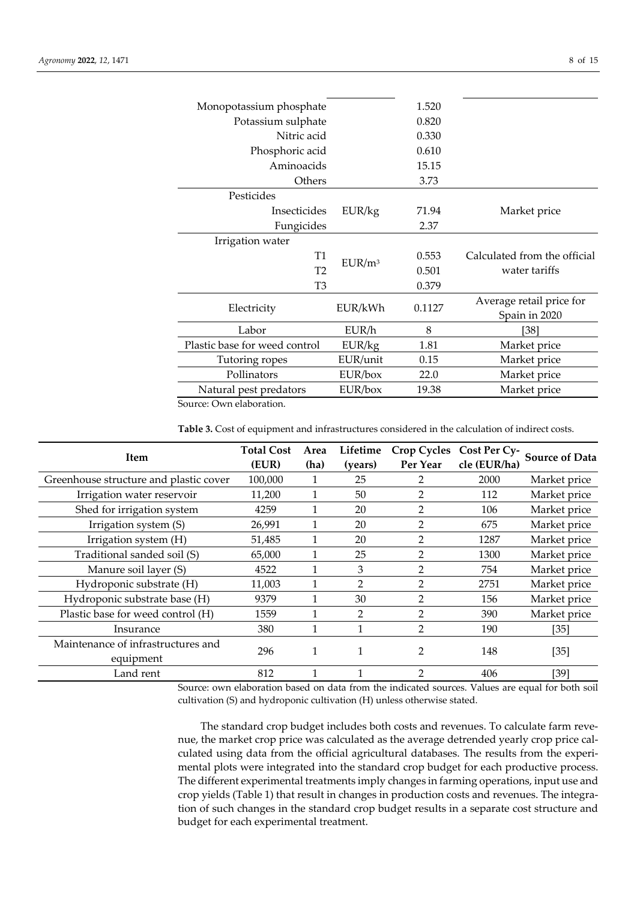| Monopotassium phosphate       |                    | 1.520 |                              |
|-------------------------------|--------------------|-------|------------------------------|
| Potassium sulphate            |                    | 0.820 |                              |
| Nitric acid                   |                    | 0.330 |                              |
| Phosphoric acid               |                    | 0.610 |                              |
| Aminoacids                    |                    | 15.15 |                              |
| Others                        |                    | 3.73  |                              |
| Pesticides                    |                    |       |                              |
| Insecticides                  | EUR/kg             | 71.94 | Market price                 |
| Fungicides                    |                    | 2.37  |                              |
| Irrigation water              |                    |       |                              |
| T1                            | EUR/m <sup>3</sup> | 0.553 | Calculated from the official |
| T <sub>2</sub>                |                    | 0.501 | water tariffs                |
| T <sub>3</sub>                |                    | 0.379 |                              |
| Electricity                   | 0.1127<br>EUR/kWh  |       | Average retail price for     |
|                               |                    |       | Spain in 2020                |
| Labor                         | EUR/h              | 8     | [38]                         |
| Plastic base for weed control | EUR/kg             | 1.81  | Market price                 |
| Tutoring ropes                | EUR/unit           | 0.15  | Market price                 |
| Pollinators                   | EUR/box            | 22.0  | Market price                 |
| Natural pest predators        | EUR/box            | 19.38 | Market price                 |
|                               |                    |       |                              |

Source: Own elaboration.

**Table 3.** Cost of equipment and infrastructures considered in the calculation of indirect costs.

| <b>Item</b>                                     | <b>Total Cost</b><br>(EUR) | Area<br>(ha) | Lifetime<br>(years) | <b>Crop Cycles</b><br>Per Year | Cost Per Cy-<br>cle (EUR/ha) | <b>Source of Data</b> |
|-------------------------------------------------|----------------------------|--------------|---------------------|--------------------------------|------------------------------|-----------------------|
| Greenhouse structure and plastic cover          | 100,000                    |              | 25                  | 2                              | 2000                         | Market price          |
| Irrigation water reservoir                      | 11,200                     |              | 50                  | 2                              | 112                          | Market price          |
| Shed for irrigation system                      | 4259                       |              | 20                  | 2                              | 106                          | Market price          |
| Irrigation system (S)                           | 26,991                     |              | 20                  | 2                              | 675                          | Market price          |
| Irrigation system (H)                           | 51,485                     |              | 20                  | 2                              | 1287                         | Market price          |
| Traditional sanded soil (S)                     | 65,000                     |              | 25                  | $\mathfrak{p}$                 | 1300                         | Market price          |
| Manure soil layer (S)                           | 4522                       |              | 3                   | 2                              | 754                          | Market price          |
| Hydroponic substrate (H)                        | 11,003                     |              | $\mathcal{P}$       | 2                              | 2751                         | Market price          |
| Hydroponic substrate base (H)                   | 9379                       |              | 30                  |                                | 156                          | Market price          |
| Plastic base for weed control (H)               | 1559                       |              | 2                   | $\mathfrak{p}$                 | 390                          | Market price          |
| Insurance                                       | 380                        |              |                     | $\mathfrak{p}$                 | 190                          | [35]                  |
| Maintenance of infrastructures and<br>equipment | 296                        |              |                     | 2                              | 148                          | $[35]$                |
| Land rent                                       | 812                        |              |                     | $\mathfrak{p}$                 | 406                          | [39]                  |

Source: own elaboration based on data from the indicated sources. Values are equal for both soil cultivation (S) and hydroponic cultivation (H) unless otherwise stated.

The standard crop budget includes both costs and revenues. To calculate farm revenue, the market crop price was calculated as the average detrended yearly crop price calculated using data from the official agricultural databases. The results from the experimental plots were integrated into the standard crop budget for each productive process. The different experimental treatments imply changes in farming operations, input use and crop yields (Table 1) that result in changes in production costs and revenues. The integra‐ tion of such changes in the standard crop budget results in a separate cost structure and budget for each experimental treatment.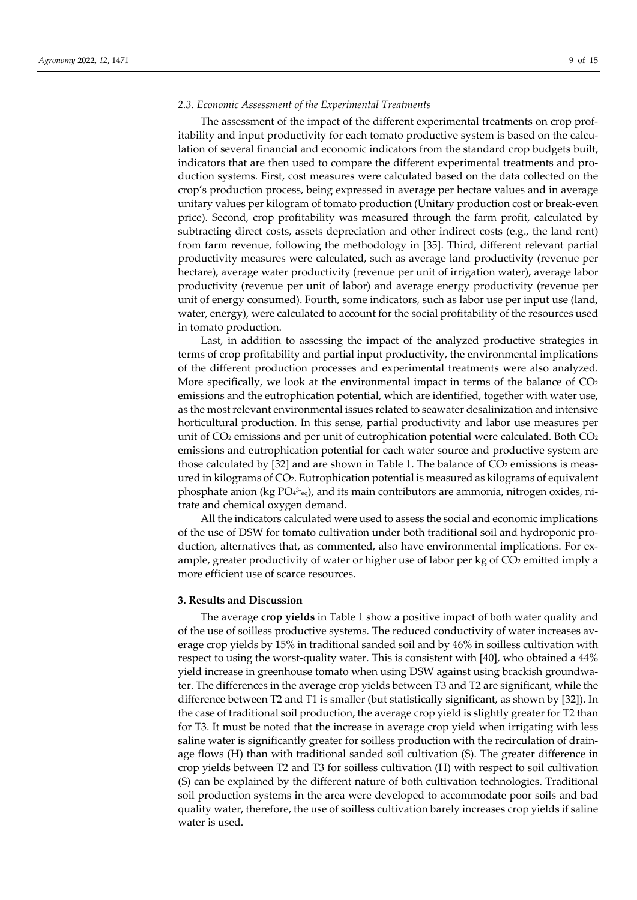### *2.3. Economic Assessment of the Experimental Treatments*

The assessment of the impact of the different experimental treatments on crop profitability and input productivity for each tomato productive system is based on the calculation of several financial and economic indicators from the standard crop budgets built, indicators that are then used to compare the different experimental treatments and pro‐ duction systems. First, cost measures were calculated based on the data collected on the crop's production process, being expressed in average per hectare values and in average unitary values per kilogram of tomato production (Unitary production cost or break‐even price). Second, crop profitability was measured through the farm profit, calculated by subtracting direct costs, assets depreciation and other indirect costs (e.g., the land rent) from farm revenue, following the methodology in [35]. Third, different relevant partial productivity measures were calculated, such as average land productivity (revenue per hectare), average water productivity (revenue per unit of irrigation water), average labor productivity (revenue per unit of labor) and average energy productivity (revenue per unit of energy consumed). Fourth, some indicators, such as labor use per input use (land, water, energy), were calculated to account for the social profitability of the resources used in tomato production.

Last, in addition to assessing the impact of the analyzed productive strategies in terms of crop profitability and partial input productivity, the environmental implications of the different production processes and experimental treatments were also analyzed. More specifically, we look at the environmental impact in terms of the balance of  $CO<sub>2</sub>$ emissions and the eutrophication potential, which are identified, together with water use, as the most relevant environmental issues related to seawater desalinization and intensive horticultural production. In this sense, partial productivity and labor use measures per unit of CO2 emissions and per unit of eutrophication potential were calculated. Both CO2 emissions and eutrophication potential for each water source and productive system are those calculated by [32] and are shown in Table 1. The balance of  $CO<sub>2</sub>$  emissions is measured in kilograms of CO2. Eutrophication potential is measured as kilograms of equivalent phosphate anion (kg PO43‐eq), and its main contributors are ammonia, nitrogen oxides, nitrate and chemical oxygen demand.

All the indicators calculated were used to assess the social and economic implications of the use of DSW for tomato cultivation under both traditional soil and hydroponic pro‐ duction, alternatives that, as commented, also have environmental implications. For ex‐ ample, greater productivity of water or higher use of labor per kg of CO2 emitted imply a more efficient use of scarce resources.

## **3. Results and Discussion**

The average **crop yields** in Table 1 show a positive impact of both water quality and of the use of soilless productive systems. The reduced conductivity of water increases av‐ erage crop yields by 15% in traditional sanded soil and by 46% in soilless cultivation with respect to using the worst-quality water. This is consistent with [40], who obtained a 44% yield increase in greenhouse tomato when using DSW against using brackish groundwater. The differences in the average crop yields between T3 and T2 are significant, while the difference between T2 and T1 is smaller (but statistically significant, as shown by [32]). In the case of traditional soil production, the average crop yield is slightly greater for T2 than for T3. It must be noted that the increase in average crop yield when irrigating with less saline water is significantly greater for soilless production with the recirculation of drain‐ age flows (H) than with traditional sanded soil cultivation (S). The greater difference in crop yields between T2 and T3 for soilless cultivation (H) with respect to soil cultivation (S) can be explained by the different nature of both cultivation technologies. Traditional soil production systems in the area were developed to accommodate poor soils and bad quality water, therefore, the use of soilless cultivation barely increases crop yields if saline water is used.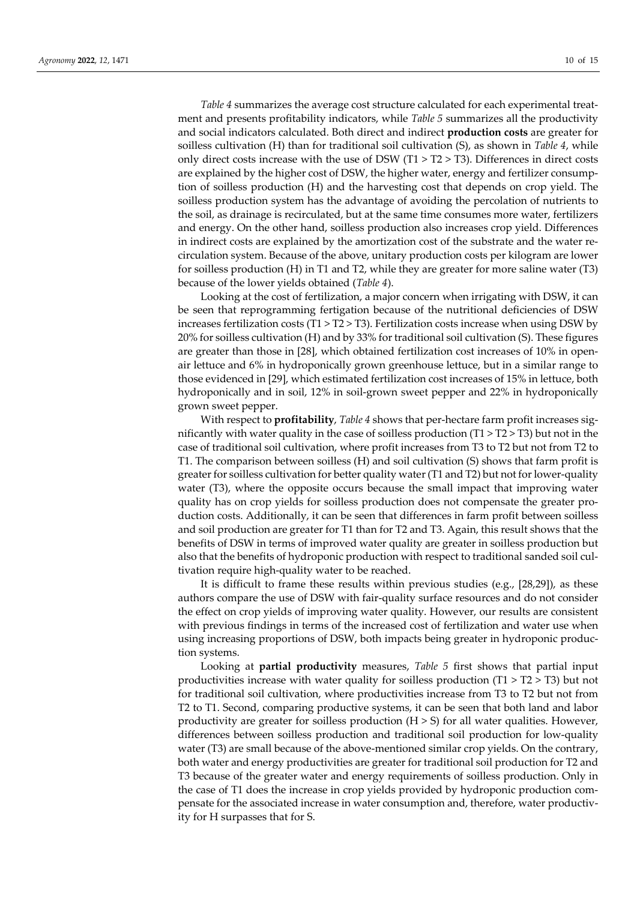*Table 4* summarizes the average cost structure calculated for each experimental treat‐ ment and presents profitability indicators, while *Table 5* summarizes all the productivity and social indicators calculated. Both direct and indirect **production costs** are greater for soilless cultivation (H) than for traditional soil cultivation (S), as shown in *Table 4*, while only direct costs increase with the use of DSW (T1  $>$  T2 $>$  T3). Differences in direct costs are explained by the higher cost of DSW, the higher water, energy and fertilizer consumption of soilless production (H) and the harvesting cost that depends on crop yield. The soilless production system has the advantage of avoiding the percolation of nutrients to the soil, as drainage is recirculated, but at the same time consumes more water, fertilizers and energy. On the other hand, soilless production also increases crop yield. Differences in indirect costs are explained by the amortization cost of the substrate and the water recirculation system. Because of the above, unitary production costs per kilogram are lower for soilless production (H) in T1 and T2, while they are greater for more saline water (T3) because of the lower yields obtained (*Table 4*).

Looking at the cost of fertilization, a major concern when irrigating with DSW, it can be seen that reprogramming fertigation because of the nutritional deficiencies of DSW increases fertilization costs (T1 > T2 > T3). Fertilization costs increase when using DSW by  $20\%$  for soilless cultivation (H) and by 33% for traditional soil cultivation (S). These figures are greater than those in [28], which obtained fertilization cost increases of 10% in openair lettuce and 6% in hydroponically grown greenhouse lettuce, but in a similar range to those evidenced in [29], which estimated fertilization cost increases of 15% in lettuce, both hydroponically and in soil, 12% in soil‐grown sweet pepper and 22% in hydroponically grown sweet pepper.

With respect to **profitability**, *Table* 4 shows that per-hectare farm profit increases significantly with water quality in the case of soilless production  $(T1 > T2 > T3)$  but not in the case of traditional soil cultivation, where profit increases from T3 to T2 but not from T2 to T1. The comparison between soilless (H) and soil cultivation (S) shows that farm profit is greater for soilless cultivation for better quality water (T1 and T2) but not for lower-quality water (T3), where the opposite occurs because the small impact that improving water quality has on crop yields for soilless production does not compensate the greater pro‐ duction costs. Additionally, it can be seen that differences in farm profit between soilless and soil production are greater for T1 than for T2 and T3. Again, this result shows that the benefits of DSW in terms of improved water quality are greater in soilless production but also that the benefits of hydroponic production with respect to traditional sanded soil cul‐ tivation require high‐quality water to be reached.

It is difficult to frame these results within previous studies (e.g., [28,29]), as these authors compare the use of DSW with fair‐quality surface resources and do not consider the effect on crop yields of improving water quality. However, our results are consistent with previous findings in terms of the increased cost of fertilization and water use when using increasing proportions of DSW, both impacts being greater in hydroponic produc‐ tion systems.

Looking at **partial productivity** measures, *Table 5* first shows that partial input productivities increase with water quality for soilless production  $(T1 > T2 > T3)$  but not for traditional soil cultivation, where productivities increase from T3 to T2 but not from T2 to T1. Second, comparing productive systems, it can be seen that both land and labor productivity are greater for soilless production  $(H > S)$  for all water qualities. However, differences between soilless production and traditional soil production for low‐quality water (T3) are small because of the above-mentioned similar crop yields. On the contrary, both water and energy productivities are greater for traditional soil production for T2 and T3 because of the greater water and energy requirements of soilless production. Only in the case of T1 does the increase in crop yields provided by hydroponic production compensate for the associated increase in water consumption and, therefore, water productivity for H surpasses that for S.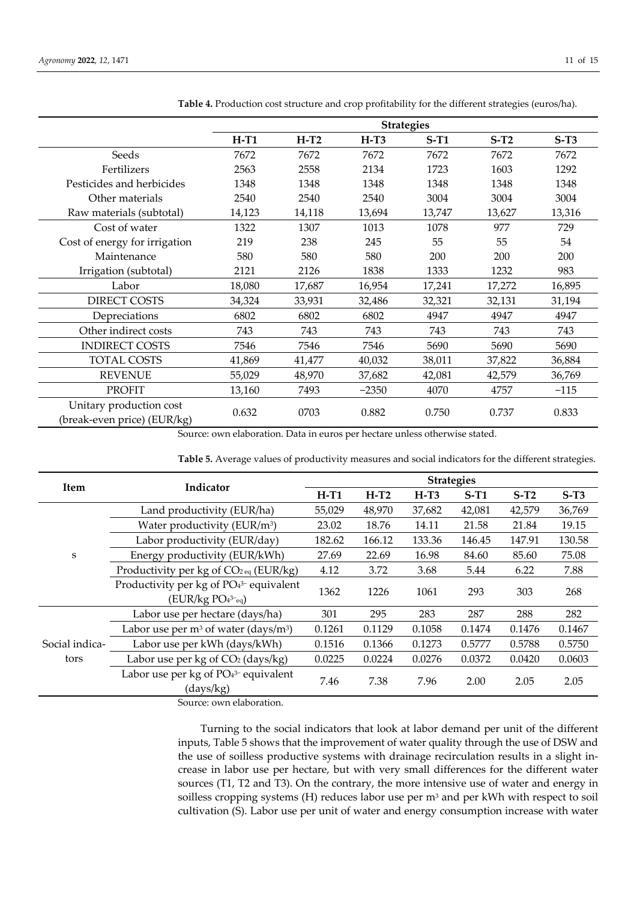|                                                        | <b>Strategies</b> |        |         |        |        |        |
|--------------------------------------------------------|-------------------|--------|---------|--------|--------|--------|
|                                                        | $H-T1$            | $H-T2$ | $H-T3$  | $S-T1$ | $S-T2$ | $S-T3$ |
| Seeds                                                  | 7672              | 7672   | 7672    | 7672   | 7672   | 7672   |
| Fertilizers                                            | 2563              | 2558   | 2134    | 1723   | 1603   | 1292   |
| Pesticides and herbicides                              | 1348              | 1348   | 1348    | 1348   | 1348   | 1348   |
| Other materials                                        | 2540              | 2540   | 2540    | 3004   | 3004   | 3004   |
| Raw materials (subtotal)                               | 14,123            | 14,118 | 13,694  | 13,747 | 13,627 | 13,316 |
| Cost of water                                          | 1322              | 1307   | 1013    | 1078   | 977    | 729    |
| Cost of energy for irrigation                          | 219               | 238    | 245     | 55     | 55     | 54     |
| Maintenance                                            | 580               | 580    | 580     | 200    | 200    | 200    |
| Irrigation (subtotal)                                  | 2121              | 2126   | 1838    | 1333   | 1232   | 983    |
| Labor                                                  | 18,080            | 17,687 | 16,954  | 17,241 | 17,272 | 16,895 |
| <b>DIRECT COSTS</b>                                    | 34,324            | 33,931 | 32,486  | 32,321 | 32,131 | 31,194 |
| Depreciations                                          | 6802              | 6802   | 6802    | 4947   | 4947   | 4947   |
| Other indirect costs                                   | 743               | 743    | 743     | 743    | 743    | 743    |
| <b>INDIRECT COSTS</b>                                  | 7546              | 7546   | 7546    | 5690   | 5690   | 5690   |
| <b>TOTAL COSTS</b>                                     | 41,869            | 41,477 | 40,032  | 38,011 | 37,822 | 36,884 |
| <b>REVENUE</b>                                         | 55,029            | 48,970 | 37,682  | 42,081 | 42,579 | 36,769 |
| <b>PROFIT</b>                                          | 13,160            | 7493   | $-2350$ | 4070   | 4757   | $-115$ |
| Unitary production cost<br>(break-even price) (EUR/kg) | 0.632             | 0703   | 0.882   | 0.750  | 0.737  | 0.833  |

**Table 4.** Production cost structure and crop profitability for the different strategies (euros/ha).

Source: own elaboration. Data in euros per hectare unless otherwise stated.

**Table 5.** Average values of productivity measures and social indicators for the different strategies.

| <b>Item</b>    |                                                     | <b>Strategies</b> |        |        |        |        |        |
|----------------|-----------------------------------------------------|-------------------|--------|--------|--------|--------|--------|
|                | Indicator                                           | $H-T1$            | $H-T2$ | $H-T3$ | $S-T1$ | $S-T2$ | $S-T3$ |
|                | Land productivity (EUR/ha)                          | 55,029            | 48,970 | 37,682 | 42,081 | 42,579 | 36,769 |
|                | Water productivity (EUR/m <sup>3</sup> )            | 23.02             | 18.76  | 14.11  | 21.58  | 21.84  | 19.15  |
| S              | Labor productivity (EUR/day)                        | 182.62            | 166.12 | 133.36 | 146.45 | 147.91 | 130.58 |
|                | Energy productivity (EUR/kWh)                       | 27.69             | 22.69  | 16.98  | 84.60  | 85.60  | 75.08  |
|                | Productivity per kg of $CO_{2 \text{ eq}}$ (EUR/kg) | 4.12              | 3.72   | 3.68   | 5.44   | 6.22   | 7.88   |
|                | Productivity per $kg$ of $PO43-$ equivalent         | 1362<br>1226      | 1061   | 293    | 303    | 268    |        |
|                | $(EUR/kg PO43-eq)$                                  |                   |        |        |        |        |        |
|                | Labor use per hectare (days/ha)                     | 301               | 295    | 283    | 287    | 288    | 282    |
|                | Labor use per $m^3$ of water (days/ $m^3$ )         | 0.1261            | 0.1129 | 0.1058 | 0.1474 | 0.1476 | 0.1467 |
| Social indica- | Labor use per kWh (days/kWh)                        | 0.1516            | 0.1366 | 0.1273 | 0.5777 | 0.5788 | 0.5750 |
| tors           | Labor use per $kg$ of $CO2$ (days/ $kg$ )           | 0.0225            | 0.0224 | 0.0276 | 0.0372 | 0.0420 | 0.0603 |
|                | Labor use per kg of PO <sub>43</sub> - equivalent   | 7.46              | 7.38   | 7.96   | 2.00   | 2.05   | 2.05   |
|                | (days/kg)                                           |                   |        |        |        |        |        |

Source: own elaboration.

Turning to the social indicators that look at labor demand per unit of the different inputs, Table 5 shows that the improvement of water quality through the use of DSW and the use of soilless productive systems with drainage recirculation results in a slight increase in labor use per hectare, but with very small differences for the different water sources (T1, T2 and T3). On the contrary, the more intensive use of water and energy in soilless cropping systems (H) reduces labor use per  $m<sup>3</sup>$  and per kWh with respect to soil cultivation (S). Labor use per unit of water and energy consumption increase with water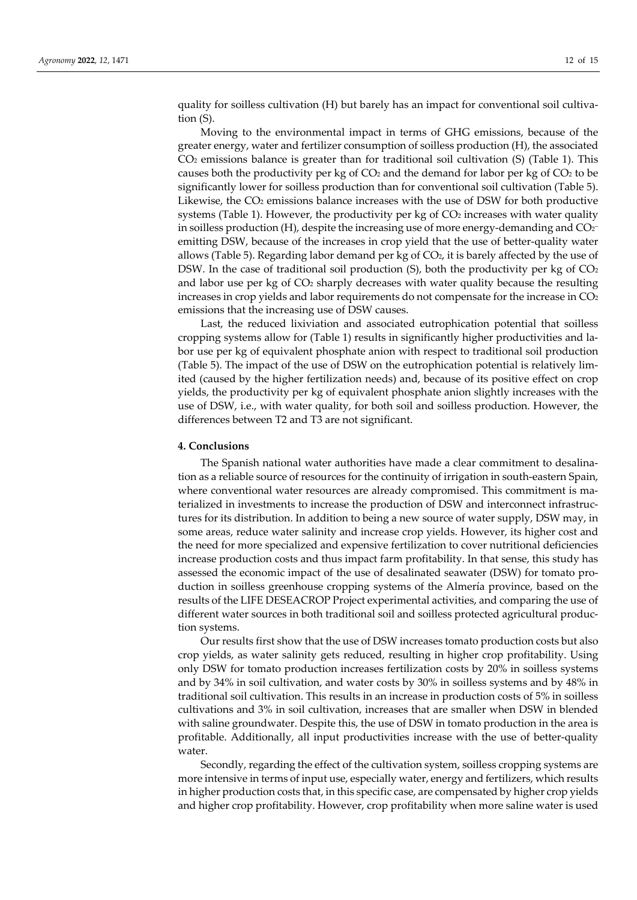quality for soilless cultivation (H) but barely has an impact for conventional soil cultiva‐ tion (S).

Moving to the environmental impact in terms of GHG emissions, because of the greater energy, water and fertilizer consumption of soilless production (H), the associated CO2 emissions balance is greater than for traditional soil cultivation (S) (Table 1). This causes both the productivity per kg of  $CO<sub>2</sub>$  and the demand for labor per kg of  $CO<sub>2</sub>$  to be significantly lower for soilless production than for conventional soil cultivation (Table 5). Likewise, the  $CO<sub>2</sub>$  emissions balance increases with the use of DSW for both productive systems (Table 1). However, the productivity per  $kg$  of  $CO<sub>2</sub>$  increases with water quality in soilless production (H), despite the increasing use of more energy-demanding and  $CO<sub>2</sub>$ emitting DSW, because of the increases in crop yield that the use of better-quality water allows (Table 5). Regarding labor demand per kg of  $CO<sub>2</sub>$ , it is barely affected by the use of DSW. In the case of traditional soil production (S), both the productivity per kg of  $CO<sub>2</sub>$ and labor use per kg of  $CO<sub>2</sub>$  sharply decreases with water quality because the resulting increases in crop yields and labor requirements do not compensate for the increase in  $CO<sub>2</sub>$ emissions that the increasing use of DSW causes.

Last, the reduced lixiviation and associated eutrophication potential that soilless cropping systems allow for (Table 1) results in significantly higher productivities and la‐ bor use per kg of equivalent phosphate anion with respect to traditional soil production (Table 5). The impact of the use of DSW on the eutrophication potential is relatively lim‐ ited (caused by the higher fertilization needs) and, because of its positive effect on crop yields, the productivity per kg of equivalent phosphate anion slightly increases with the use of DSW, i.e., with water quality, for both soil and soilless production. However, the differences between T2 and T3 are not significant.

#### **4. Conclusions**

The Spanish national water authorities have made a clear commitment to desalina‐ tion as a reliable source of resources for the continuity of irrigation in south‐eastern Spain, where conventional water resources are already compromised. This commitment is ma terialized in investments to increase the production of DSW and interconnect infrastruc‐ tures for its distribution. In addition to being a new source of water supply, DSW may, in some areas, reduce water salinity and increase crop yields. However, its higher cost and the need for more specialized and expensive fertilization to cover nutritional deficiencies increase production costs and thus impact farm profitability. In that sense, this study has assessed the economic impact of the use of desalinated seawater (DSW) for tomato pro‐ duction in soilless greenhouse cropping systems of the Almería province, based on the results of the LIFE DESEACROP Project experimental activities, and comparing the use of different water sources in both traditional soil and soilless protected agricultural produc‐ tion systems.

Our results first show that the use of DSW increases tomato production costs but also crop yields, as water salinity gets reduced, resulting in higher crop profitability. Using only DSW for tomato production increases fertilization costs by 20% in soilless systems and by 34% in soil cultivation, and water costs by 30% in soilless systems and by 48% in traditional soil cultivation. This results in an increase in production costs of 5% in soilless cultivations and 3% in soil cultivation, increases that are smaller when DSW in blended with saline groundwater. Despite this, the use of DSW in tomato production in the area is profitable. Additionally, all input productivities increase with the use of better‐quality water.

Secondly, regarding the effect of the cultivation system, soilless cropping systems are more intensive in terms of input use, especially water, energy and fertilizers, which results in higher production costs that, in this specific case, are compensated by higher crop yields and higher crop profitability. However, crop profitability when more saline water is used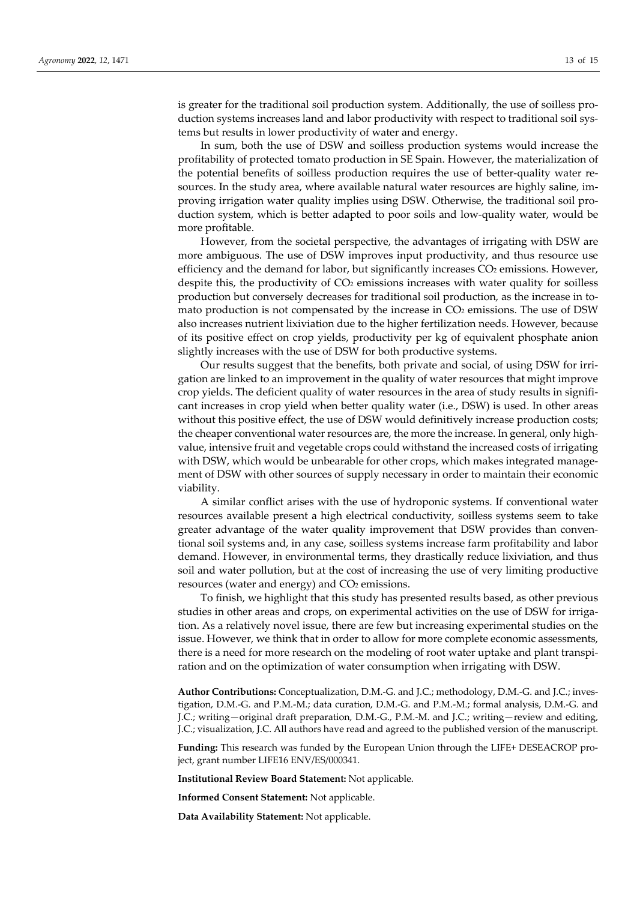is greater for the traditional soil production system. Additionally, the use of soilless production systems increases land and labor productivity with respect to traditional soil systems but results in lower productivity of water and energy.

In sum, both the use of DSW and soilless production systems would increase the profitability of protected tomato production in SE Spain. However, the materialization of the potential benefits of soilless production requires the use of better-quality water resources. In the study area, where available natural water resources are highly saline, improving irrigation water quality implies using DSW. Otherwise, the traditional soil production system, which is better adapted to poor soils and low‐quality water, would be more profitable.

However, from the societal perspective, the advantages of irrigating with DSW are more ambiguous. The use of DSW improves input productivity, and thus resource use efficiency and the demand for labor, but significantly increases  $CO<sub>2</sub>$  emissions. However, despite this, the productivity of  $CO<sub>2</sub>$  emissions increases with water quality for soilless production but conversely decreases for traditional soil production, as the increase in to‐ mato production is not compensated by the increase in CO<sub>2</sub> emissions. The use of DSW also increases nutrient lixiviation due to the higher fertilization needs. However, because of its positive effect on crop yields, productivity per kg of equivalent phosphate anion slightly increases with the use of DSW for both productive systems.

Our results suggest that the benefits, both private and social, of using DSW for irri‐ gation are linked to an improvement in the quality of water resources that might improve crop yields. The deficient quality of water resources in the area of study results in significant increases in crop yield when better quality water (i.e., DSW) is used. In other areas without this positive effect, the use of DSW would definitively increase production costs; the cheaper conventional water resources are, the more the increase. In general, only highvalue, intensive fruit and vegetable crops could withstand the increased costs of irrigating with DSW, which would be unbearable for other crops, which makes integrated management of DSW with other sources of supply necessary in order to maintain their economic viability.

A similar conflict arises with the use of hydroponic systems. If conventional water resources available present a high electrical conductivity, soilless systems seem to take greater advantage of the water quality improvement that DSW provides than conven‐ tional soil systems and, in any case, soilless systems increase farm profitability and labor demand. However, in environmental terms, they drastically reduce lixiviation, and thus soil and water pollution, but at the cost of increasing the use of very limiting productive resources (water and energy) and CO<sub>2</sub> emissions.

To finish, we highlight that this study has presented results based, as other previous studies in other areas and crops, on experimental activities on the use of DSW for irrigation. As a relatively novel issue, there are few but increasing experimental studies on the issue. However, we think that in order to allow for more complete economic assessments, there is a need for more research on the modeling of root water uptake and plant transpi‐ ration and on the optimization of water consumption when irrigating with DSW.

**Author Contributions:** Conceptualization, D.M.‐G. and J.C.; methodology, D.M.‐G. and J.C.; inves‐ tigation, D.M.‐G. and P.M.‐M.; data curation, D.M.‐G. and P.M.‐M.; formal analysis, D.M.‐G. and J.C.; writing—original draft preparation, D.M.‐G., P.M.‐M. and J.C.; writing—review and editing, J.C.; visualization, J.C. All authors have read and agreed to the published version of the manuscript.

**Funding:** This research was funded by the European Union through the LIFE+ DESEACROP pro‐ ject, grant number LIFE16 ENV/ES/000341.

**Institutional Review Board Statement:** Not applicable.

**Informed Consent Statement:** Not applicable.

**Data Availability Statement:** Not applicable.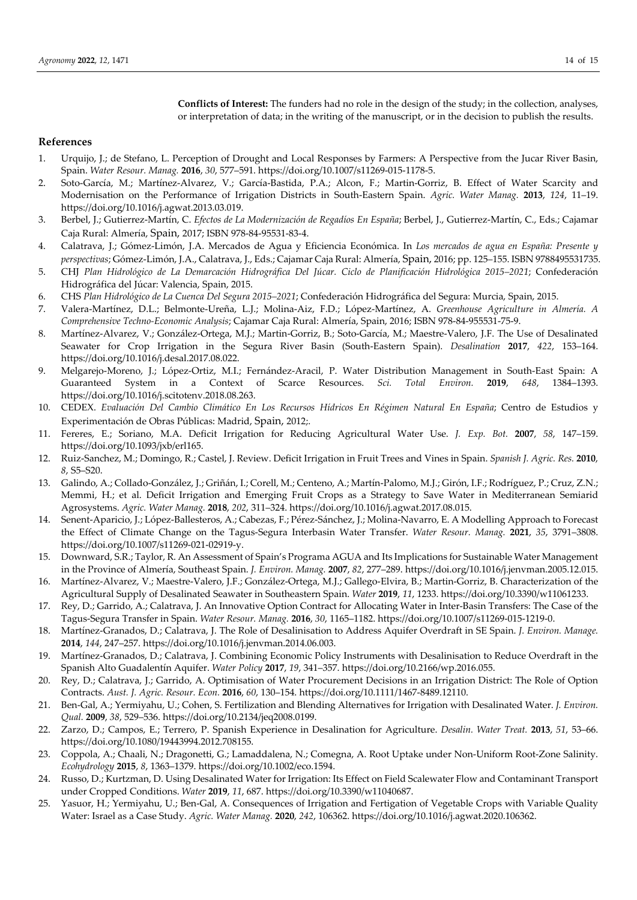**Conflicts of Interest:** The funders had no role in the design of the study; in the collection, analyses, or interpretation of data; in the writing of the manuscript, or in the decision to publish the results.

## **References**

- 1. Urquijo, J.; de Stefano, L. Perception of Drought and Local Responses by Farmers: A Perspective from the Jucar River Basin, Spain. *Water Resour. Manag.* **2016**, *30*, 577–591. https://doi.org/10.1007/s11269‐015‐1178‐5.
- 2. Soto‐García, M.; Martínez‐Alvarez, V.; García‐Bastida, P.A.; Alcon, F.; Martin‐Gorriz, B. Effect of Water Scarcity and Modernisation on the Performance of Irrigation Districts in South‐Eastern Spain. *Agric. Water Manag.* **2013**, *124*, 11–19. https://doi.org/10.1016/j.agwat.2013.03.019.
- 3. Berbel, J.; Gutierrez‐Martín, C. *Efectos de La Modernización de Regadíos En España*; Berbel, J., Gutierrez‐Martín, C., Eds.; Cajamar Caja Rural: Almería, Spain, 2017; ISBN 978‐84‐95531‐83‐4.
- 4. Calatrava, J.; Gómez‐Limón, J.A. Mercados de Agua y Eficiencia Económica. In *Los mercados de agua en España: Presente y perspectivas*; Gómez‐Limón, J.A., Calatrava, J., Eds.; Cajamar Caja Rural: Almería, Spain, 2016; pp. 125–155. ISBN 9788495531735.
- 5. CHJ *Plan Hidrológico de La Demarcación Hidrográfica Del Júcar. Ciclo de Planificación Hidrológica 2015–2021*; Confederación Hidrográfica del Júcar: Valencia, Spain, 2015.
- 6. CHS *Plan Hidrológico de La Cuenca Del Segura 2015–2021*; Confederación Hidrográfica del Segura: Murcia, Spain, 2015.
- 7. Valera‐Martínez, D.L.; Belmonte‐Ureña, L.J.; Molina‐Aiz, F.D.; López‐Martínez, A. *Greenhouse Agriculture in Almería. A Comprehensive Techno‐Economic Analysis*; Cajamar Caja Rural: Almería, Spain, 2016; ISBN 978‐84‐955531‐75‐9.
- 8. Martínez-Alvarez, V.; González-Ortega, M.J.; Martin-Gorriz, B.; Soto-García, M.; Maestre-Valero, J.F. The Use of Desalinated Seawater for Crop Irrigation in the Segura River Basin (South‐Eastern Spain). *Desalination* **2017**, *422*, 153–164. https://doi.org/10.1016/j.desal.2017.08.022.
- 9. Melgarejo-Moreno, J.; López-Ortiz, M.I.; Fernández-Aracil, P. Water Distribution Management in South-East Spain: A Guaranteed System in a Context of Scarce Resources. *Sci. Total Environ.* **2019**, *648*, 1384–1393. https://doi.org/10.1016/j.scitotenv.2018.08.263.
- 10. CEDEX. *Evaluación Del Cambio Climático En Los Recursos Hídricos En Régimen Natural En España*; Centro de Estudios y Experimentación de Obras Públicas: Madrid, Spain, 2012;.
- 11. Fereres, E.; Soriano, M.A. Deficit Irrigation for Reducing Agricultural Water Use. *J. Exp. Bot.* **2007**, *58*, 147–159. https://doi.org/10.1093/jxb/erl165.
- 12. Ruiz‐Sanchez, M.; Domingo, R.; Castel, J. Review. Deficit Irrigation in Fruit Trees and Vines in Spain. *Spanish J. Agric. Res.* **2010**, *8*, S5–S20.
- 13. Galindo, A.; Collado‐González, J.; Griñán, I.; Corell, M.; Centeno, A.; Martín‐Palomo, M.J.; Girón, I.F.; Rodríguez, P.; Cruz, Z.N.; Memmi, H.; et al. Deficit Irrigation and Emerging Fruit Crops as a Strategy to Save Water in Mediterranean Semiarid Agrosystems. *Agric. Water Manag.* **2018**, *202*, 311–324. https://doi.org/10.1016/j.agwat.2017.08.015.
- 14. Senent-Aparicio, J.; López-Ballesteros, A.; Cabezas, F.; Pérez-Sánchez, J.; Molina-Navarro, E. A Modelling Approach to Forecast the Effect of Climate Change on the Tagus‐Segura Interbasin Water Transfer. *Water Resour. Manag.* **2021**, *35*, 3791–3808. https://doi.org/10.1007/s11269‐021‐02919‐y.
- 15. Downward, S.R.; Taylor, R. An Assessment of Spain's Programa AGUA and Its Implications for Sustainable Water Management in the Province of Almería, Southeast Spain. *J. Environ. Manag.* **2007**, *82*, 277–289. https://doi.org/10.1016/j.jenvman.2005.12.015.
- 16. Martínez‐Alvarez, V.; Maestre‐Valero, J.F.; González‐Ortega, M.J.; Gallego‐Elvira, B.; Martin‐Gorriz, B. Characterization of the Agricultural Supply of Desalinated Seawater in Southeastern Spain. *Water* **2019**, *11*, 1233. https://doi.org/10.3390/w11061233.
- 17. Rey, D.; Garrido, A.; Calatrava, J. An Innovative Option Contract for Allocating Water in Inter‐Basin Transfers: The Case of the Tagus‐Segura Transfer in Spain. *Water Resour. Manag.* **2016**, *30*, 1165–1182. https://doi.org/10.1007/s11269‐015‐1219‐0.
- 18. Martínez‐Granados, D.; Calatrava, J. The Role of Desalinisation to Address Aquifer Overdraft in SE Spain. *J. Environ. Manage.* **2014**, *144*, 247–257. https://doi.org/10.1016/j.jenvman.2014.06.003.
- 19. Martínez‐Granados, D.; Calatrava, J. Combining Economic Policy Instruments with Desalinisation to Reduce Overdraft in the Spanish Alto Guadalentín Aquifer. *Water Policy* **2017**, *19*, 341–357. https://doi.org/10.2166/wp.2016.055.
- 20. Rey, D.; Calatrava, J.; Garrido, A. Optimisation of Water Procurement Decisions in an Irrigation District: The Role of Option Contracts. *Aust. J. Agric. Resour. Econ.* **2016**, *60*, 130–154. https://doi.org/10.1111/1467‐8489.12110.
- 21. Ben‐Gal, A.; Yermiyahu, U.; Cohen, S. Fertilization and Blending Alternatives for Irrigation with Desalinated Water. *J. Environ. Qual.* **2009**, *38*, 529–536. https://doi.org/10.2134/jeq2008.0199.
- 22. Zarzo, D.; Campos, E.; Terrero, P. Spanish Experience in Desalination for Agriculture. *Desalin. Water Treat.* **2013**, *51*, 53–66. https://doi.org/10.1080/19443994.2012.708155.
- 23. Coppola, A.; Chaali, N.; Dragonetti, G.; Lamaddalena, N.; Comegna, A. Root Uptake under Non‐Uniform Root‐Zone Salinity. *Ecohydrology* **2015**, *8*, 1363–1379. https://doi.org/10.1002/eco.1594.
- 24. Russo, D.; Kurtzman, D. Using Desalinated Water for Irrigation: Its Effect on Field Scalewater Flow and Contaminant Transport under Cropped Conditions. *Water* **2019**, *11*, 687. https://doi.org/10.3390/w11040687.
- 25. Yasuor, H.; Yermiyahu, U.; Ben‐Gal, A. Consequences of Irrigation and Fertigation of Vegetable Crops with Variable Quality Water: Israel as a Case Study. *Agric. Water Manag.* **2020**, *242*, 106362. https://doi.org/10.1016/j.agwat.2020.106362.